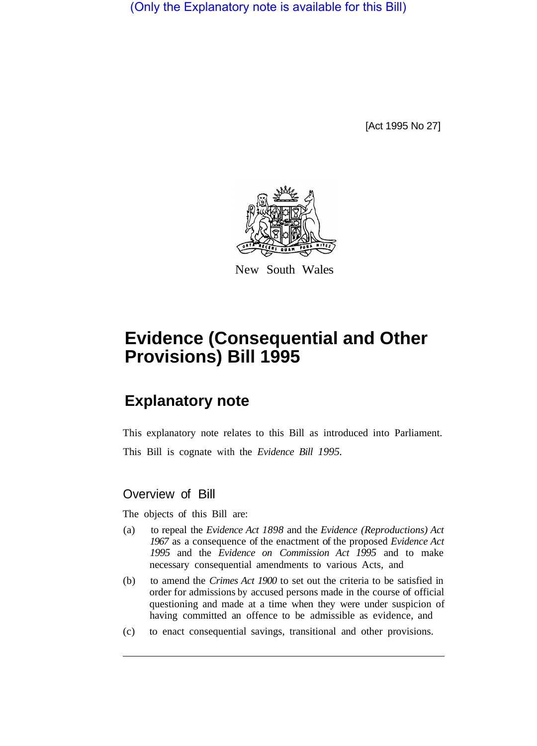(Only the Explanatory note is available for this Bill)

[Act 1995 No 27]



New South Wales

## **Evidence (Consequential and Other Provisions) Bill 1995**

## **Explanatory note**

This explanatory note relates to this Bill as introduced into Parliament.

This Bill is cognate with the *Evidence Bill 1995.* 

## Overview of Bill

The objects of this Bill are:

- (a) to repeal the *Evidence Act 1898* and the *Evidence (Reproductions) Act 1967* as a consequence of the enactment of the proposed *Evidence Act 1995* and the *Evidence on Commission Act 1995* and to make necessary consequential amendments to various Acts, and
- (b) to amend the *Crimes Act 1900* to set out the criteria to be satisfied in order for admissions by accused persons made in the course of official questioning and made at a time when they were under suspicion of having committed an offence to be admissible as evidence, and
- (c) to enact consequential savings, transitional and other provisions.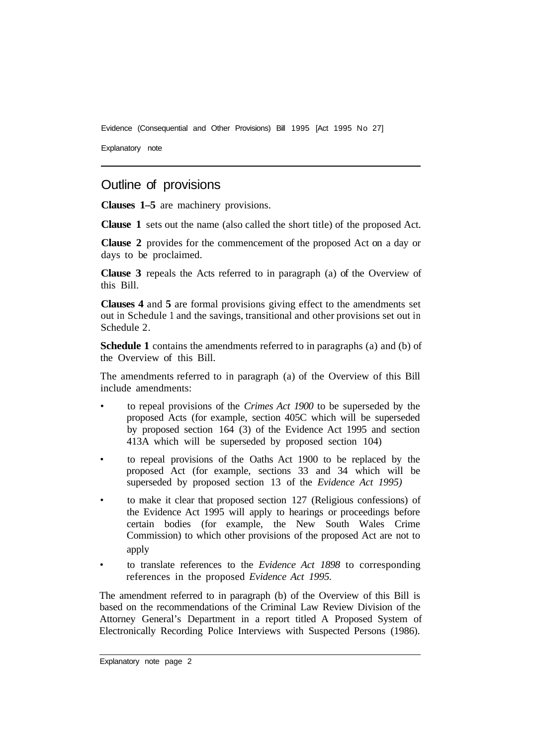Evidence (Consequential and Other Provisions) Bill 1995 [Act 1995 No 27]

Explanatory note

## Outline of provisions

**Clauses 1–5** are machinery provisions.

**Clause 1** sets out the name (also called the short title) of the proposed Act.

**Clause 2** provides for the commencement of the proposed Act on a day or days to be proclaimed.

**Clause 3** repeals the Acts referred to in paragraph (a) of the Overview of this Bill.

**Clauses 4** and **5** are formal provisions giving effect to the amendments set out in Schedule 1 and the savings, transitional and other provisions set out in Schedule 2.

**Schedule 1** contains the amendments referred to in paragraphs (a) and (b) of the Overview of this Bill.

The amendments referred to in paragraph (a) of the Overview of this Bill include amendments:

- to repeal provisions of the *Crimes Act 1900* to be superseded by the proposed Acts (for example, section 405C which will be superseded by proposed section 164 (3) of the Evidence Act 1995 and section 413A which will be superseded by proposed section 104)
- to repeal provisions of the Oaths Act 1900 to be replaced by the proposed Act (for example, sections 33 and 34 which will be superseded by proposed section 13 of the *Evidence Act 1995)*
- to make it clear that proposed section 127 (Religious confessions) of the Evidence Act 1995 will apply to hearings or proceedings before certain bodies (for example, the New South Wales Crime Commission) to which other provisions of the proposed Act are not to apply
- to translate references to the *Evidence Act 1898* to corresponding references in the proposed *Evidence Act 1995.*

The amendment referred to in paragraph (b) of the Overview of this Bill is based on the recommendations of the Criminal Law Review Division of the Attorney General's Department in a report titled A Proposed System of Electronically Recording Police Interviews with Suspected Persons (1986).